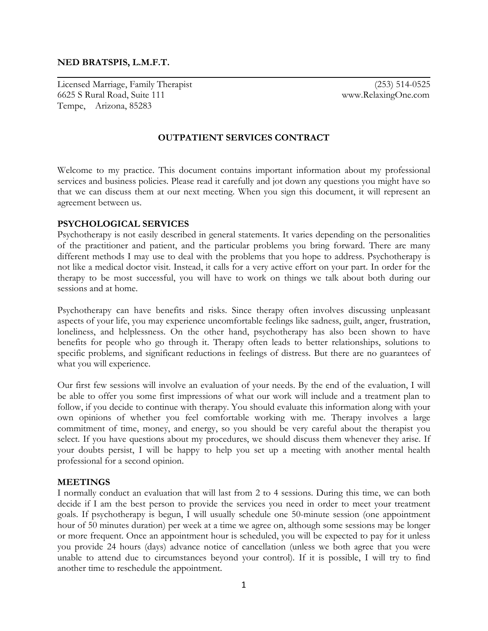#### **NED BRATSPIS, L.M.F.T.**

Licensed Marriage, Family Therapist (253) 514-0525 6625 S Rural Road, Suite 111 www.RelaxingOne.com Tempe, Arizona, 85283

### **OUTPATIENT SERVICES CONTRACT**

Welcome to my practice. This document contains important information about my professional services and business policies. Please read it carefully and jot down any questions you might have so that we can discuss them at our next meeting. When you sign this document, it will represent an agreement between us.

### **PSYCHOLOGICAL SERVICES**

Psychotherapy is not easily described in general statements. It varies depending on the personalities of the practitioner and patient, and the particular problems you bring forward. There are many different methods I may use to deal with the problems that you hope to address. Psychotherapy is not like a medical doctor visit. Instead, it calls for a very active effort on your part. In order for the therapy to be most successful, you will have to work on things we talk about both during our sessions and at home.

Psychotherapy can have benefits and risks. Since therapy often involves discussing unpleasant aspects of your life, you may experience uncomfortable feelings like sadness, guilt, anger, frustration, loneliness, and helplessness. On the other hand, psychotherapy has also been shown to have benefits for people who go through it. Therapy often leads to better relationships, solutions to specific problems, and significant reductions in feelings of distress. But there are no guarantees of what you will experience.

Our first few sessions will involve an evaluation of your needs. By the end of the evaluation, I will be able to offer you some first impressions of what our work will include and a treatment plan to follow, if you decide to continue with therapy. You should evaluate this information along with your own opinions of whether you feel comfortable working with me. Therapy involves a large commitment of time, money, and energy, so you should be very careful about the therapist you select. If you have questions about my procedures, we should discuss them whenever they arise. If your doubts persist, I will be happy to help you set up a meeting with another mental health professional for a second opinion.

### **MEETINGS**

I normally conduct an evaluation that will last from 2 to 4 sessions. During this time, we can both decide if I am the best person to provide the services you need in order to meet your treatment goals. If psychotherapy is begun, I will usually schedule one 50-minute session (one appointment hour of 50 minutes duration) per week at a time we agree on, although some sessions may be longer or more frequent. Once an appointment hour is scheduled, you will be expected to pay for it unless you provide 24 hours (days) advance notice of cancellation (unless we both agree that you were unable to attend due to circumstances beyond your control). If it is possible, I will try to find another time to reschedule the appointment.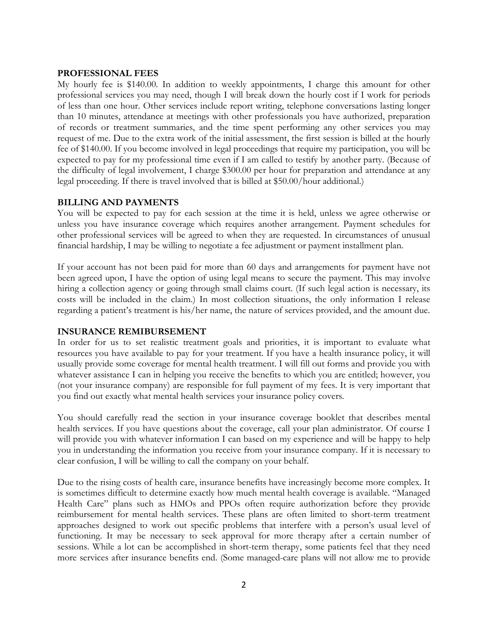#### **PROFESSIONAL FEES**

My hourly fee is \$140.00. In addition to weekly appointments, I charge this amount for other professional services you may need, though I will break down the hourly cost if I work for periods of less than one hour. Other services include report writing, telephone conversations lasting longer than 10 minutes, attendance at meetings with other professionals you have authorized, preparation of records or treatment summaries, and the time spent performing any other services you may request of me. Due to the extra work of the initial assessment, the first session is billed at the hourly fee of \$140.00. If you become involved in legal proceedings that require my participation, you will be expected to pay for my professional time even if I am called to testify by another party. (Because of the difficulty of legal involvement, I charge \$300.00 per hour for preparation and attendance at any legal proceeding. If there is travel involved that is billed at \$50.00/hour additional.)

### **BILLING AND PAYMENTS**

You will be expected to pay for each session at the time it is held, unless we agree otherwise or unless you have insurance coverage which requires another arrangement. Payment schedules for other professional services will be agreed to when they are requested. In circumstances of unusual financial hardship, I may be willing to negotiate a fee adjustment or payment installment plan.

If your account has not been paid for more than 60 days and arrangements for payment have not been agreed upon, I have the option of using legal means to secure the payment. This may involve hiring a collection agency or going through small claims court. (If such legal action is necessary, its costs will be included in the claim.) In most collection situations, the only information I release regarding a patient's treatment is his/her name, the nature of services provided, and the amount due.

### **INSURANCE REMIBURSEMENT**

In order for us to set realistic treatment goals and priorities, it is important to evaluate what resources you have available to pay for your treatment. If you have a health insurance policy, it will usually provide some coverage for mental health treatment. I will fill out forms and provide you with whatever assistance I can in helping you receive the benefits to which you are entitled; however, you (not your insurance company) are responsible for full payment of my fees. It is very important that you find out exactly what mental health services your insurance policy covers.

You should carefully read the section in your insurance coverage booklet that describes mental health services. If you have questions about the coverage, call your plan administrator. Of course I will provide you with whatever information I can based on my experience and will be happy to help you in understanding the information you receive from your insurance company. If it is necessary to clear confusion, I will be willing to call the company on your behalf.

Due to the rising costs of health care, insurance benefits have increasingly become more complex. It is sometimes difficult to determine exactly how much mental health coverage is available. "Managed Health Care" plans such as HMOs and PPOs often require authorization before they provide reimbursement for mental health services. These plans are often limited to short-term treatment approaches designed to work out specific problems that interfere with a person's usual level of functioning. It may be necessary to seek approval for more therapy after a certain number of sessions. While a lot can be accomplished in short-term therapy, some patients feel that they need more services after insurance benefits end. (Some managed-care plans will not allow me to provide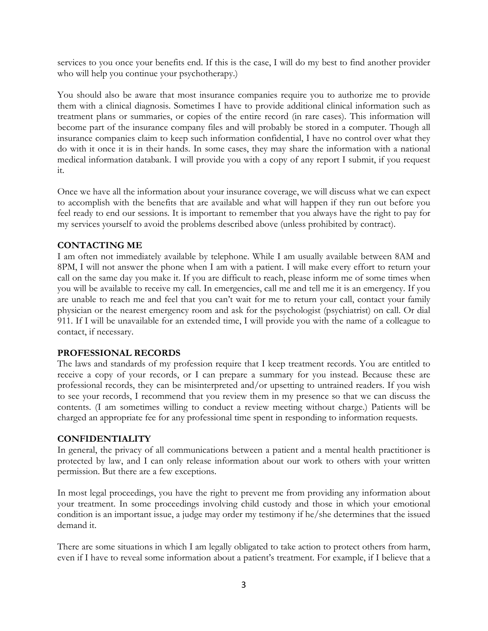services to you once your benefits end. If this is the case, I will do my best to find another provider who will help you continue your psychotherapy.)

You should also be aware that most insurance companies require you to authorize me to provide them with a clinical diagnosis. Sometimes I have to provide additional clinical information such as treatment plans or summaries, or copies of the entire record (in rare cases). This information will become part of the insurance company files and will probably be stored in a computer. Though all insurance companies claim to keep such information confidential, I have no control over what they do with it once it is in their hands. In some cases, they may share the information with a national medical information databank. I will provide you with a copy of any report I submit, if you request it.

Once we have all the information about your insurance coverage, we will discuss what we can expect to accomplish with the benefits that are available and what will happen if they run out before you feel ready to end our sessions. It is important to remember that you always have the right to pay for my services yourself to avoid the problems described above (unless prohibited by contract).

# **CONTACTING ME**

I am often not immediately available by telephone. While I am usually available between 8AM and 8PM, I will not answer the phone when I am with a patient. I will make every effort to return your call on the same day you make it. If you are difficult to reach, please inform me of some times when you will be available to receive my call. In emergencies, call me and tell me it is an emergency. If you are unable to reach me and feel that you can't wait for me to return your call, contact your family physician or the nearest emergency room and ask for the psychologist (psychiatrist) on call. Or dial 911. If I will be unavailable for an extended time, I will provide you with the name of a colleague to contact, if necessary.

# **PROFESSIONAL RECORDS**

The laws and standards of my profession require that I keep treatment records. You are entitled to receive a copy of your records, or I can prepare a summary for you instead. Because these are professional records, they can be misinterpreted and/or upsetting to untrained readers. If you wish to see your records, I recommend that you review them in my presence so that we can discuss the contents. (I am sometimes willing to conduct a review meeting without charge.) Patients will be charged an appropriate fee for any professional time spent in responding to information requests.

### **CONFIDENTIALITY**

In general, the privacy of all communications between a patient and a mental health practitioner is protected by law, and I can only release information about our work to others with your written permission. But there are a few exceptions.

In most legal proceedings, you have the right to prevent me from providing any information about your treatment. In some proceedings involving child custody and those in which your emotional condition is an important issue, a judge may order my testimony if he/she determines that the issued demand it.

There are some situations in which I am legally obligated to take action to protect others from harm, even if I have to reveal some information about a patient's treatment. For example, if I believe that a